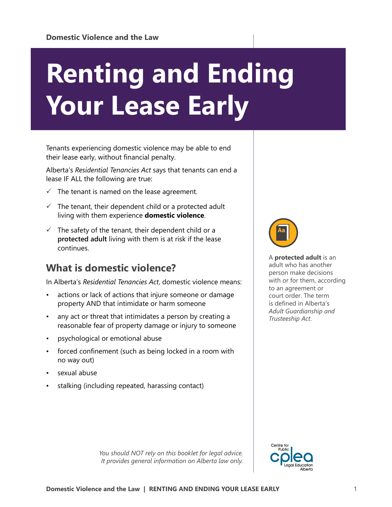# **Renting and Ending Your Lease Early**

Tenants experiencing domestic violence may be able to end their lease early, without financial penalty.

Alberta's *Residential Tenancies Act* says that tenants can end a lease IF ALL the following are true:

- $\checkmark$  The tenant is named on the lease agreement.
- $\checkmark$  The tenant, their dependent child or a protected adult living with them experience **domestic violence**.
- $\checkmark$  The safety of the tenant, their dependent child or a **protected adult** living with them is at risk if the lease continues.

# **What is domestic violence?**

In Alberta's *Residential Tenancies Act*, domestic violence means:

- actions or lack of actions that injure someone or damage property AND that intimidate or harm someone
- any act or threat that intimidates a person by creating a reasonable fear of property damage or injury to someone
- psychological or emotional abuse
- forced confinement (such as being locked in a room with no way out)
- sexual abuse
- stalking (including repeated, harassing contact)



A **protected adult** is an adult who has another person make decisions with or for them, according to an agreement or court order. The term is defined in Alberta's *Adult Guardianship and Trusteeship Act*.



*You should NOT rely on this booklet for legal advice. It provides general information on Alberta law only.*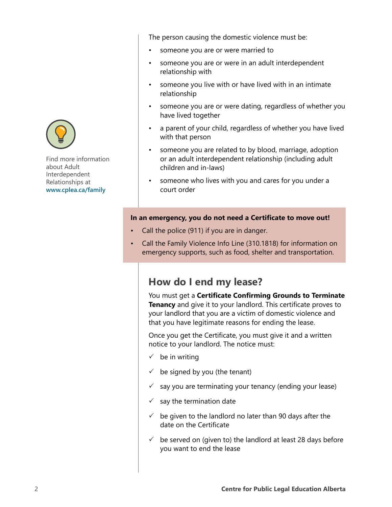

Find more information about Adult Interdependent Relationships at **[www.cplea.ca/family](http://www.cplea.ca/family)**

The person causing the domestic violence must be:

- someone you are or were married to
- someone you are or were in an adult interdependent relationship with
- someone you live with or have lived with in an intimate relationship
- someone you are or were dating, regardless of whether you have lived together
- a parent of your child, regardless of whether you have lived with that person
- someone you are related to by blood, marriage, adoption or an adult interdependent relationship (including adult children and in-laws)
- someone who lives with you and cares for you under a court order

## **In an emergency, you do not need a Certificate to move out!**

- Call the police (911) if you are in danger.
- Call the Family Violence Info Line (310.1818) for information on emergency supports, such as food, shelter and transportation.

## **How do I end my lease?**

You must get a **Certificate Confirming Grounds to Terminate Tenancy** and give it to your landlord. This certificate proves to your landlord that you are a victim of domestic violence and that you have legitimate reasons for ending the lease.

Once you get the Certificate, you must give it and a written notice to your landlord. The notice must:

- $\checkmark$  be in writing
- $\checkmark$  be signed by you (the tenant)
- $\checkmark$  say you are terminating your tenancy (ending your lease)
- $\checkmark$  say the termination date
- $\checkmark$  be given to the landlord no later than 90 days after the date on the Certificate
- $\checkmark$  be served on (given to) the landlord at least 28 days before you want to end the lease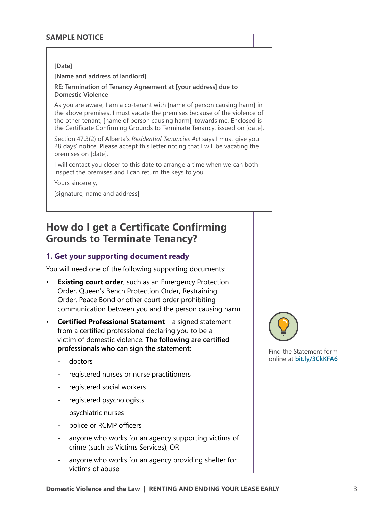#### **[Date]**

**[Name and address of landlord]**

**RE: Termination of Tenancy Agreement at [your address] due to Domestic Violence**

As you are aware, I am a co-tenant with [name of person causing harm] in the above premises. I must vacate the premises because of the violence of the other tenant, [name of person causing harm], towards me. Enclosed is the Certificate Confirming Grounds to Terminate Tenancy, issued on [date].

Section 47.3(2) of Alberta's *Residential Tenancies Act* says I must give you 28 days' notice. Please accept this letter noting that I will be vacating the premises on [date].

I will contact you closer to this date to arrange a time when we can both inspect the premises and I can return the keys to you.

Yours sincerely,

[signature, name and address]

# **How do I get a Certificate Confirming Grounds to Terminate Tenancy?**

## **1. Get your supporting document ready**

You will need one of the following supporting documents:

- **Existing court order**, such as an Emergency Protection Order, Queen's Bench Protection Order, Restraining Order, Peace Bond or other court order prohibiting communication between you and the person causing harm.
- **Certified Professional Statement** a signed statement from a certified professional declaring you to be a victim of domestic violence. **The following are certified professionals who can sign the statement:**
	- doctors
	- registered nurses or nurse practitioners
	- registered social workers
	- registered psychologists
	- psychiatric nurses
	- police or RCMP officers
	- anyone who works for an agency supporting victims of crime (such as Victims Services), OR
	- anyone who works for an agency providing shelter for victims of abuse



Find the Statement form online at **[bit.ly/3CkKFA6](https://bit.ly/3CkKFA6)**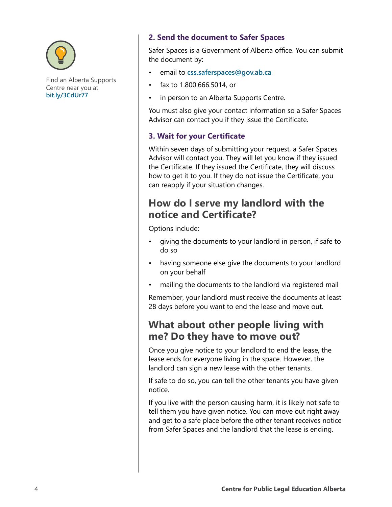

Find an Alberta Supports Centre near you at **[bit.ly/3CdUr77](https://bit.ly/3CdUr77)**

## **2. Send the document to Safer Spaces**

Safer Spaces is a Government of Alberta office. You can submit the document by:

- email to **[css.saferspaces@gov.ab.ca](mailto:css.saferspaces%40gov.ab.ca?subject=)**
- fax to 1.800.666.5014, or
- in person to an Alberta Supports Centre.

You must also give your contact information so a Safer Spaces Advisor can contact you if they issue the Certificate.

## **3. Wait for your Certificate**

Within seven days of submitting your request, a Safer Spaces Advisor will contact you. They will let you know if they issued the Certificate. If they issued the Certificate, they will discuss how to get it to you. If they do not issue the Certificate, you can reapply if your situation changes.

# **How do I serve my landlord with the notice and Certificate?**

Options include:

- giving the documents to your landlord in person, if safe to do so
- having someone else give the documents to your landlord on your behalf
- mailing the documents to the landlord via registered mail

Remember, your landlord must receive the documents at least 28 days before you want to end the lease and move out.

# **What about other people living with me? Do they have to move out?**

Once you give notice to your landlord to end the lease, the lease ends for everyone living in the space. However, the landlord can sign a new lease with the other tenants.

If safe to do so, you can tell the other tenants you have given notice.

If you live with the person causing harm, it is likely not safe to tell them you have given notice. You can move out right away and get to a safe place before the other tenant receives notice from Safer Spaces and the landlord that the lease is ending.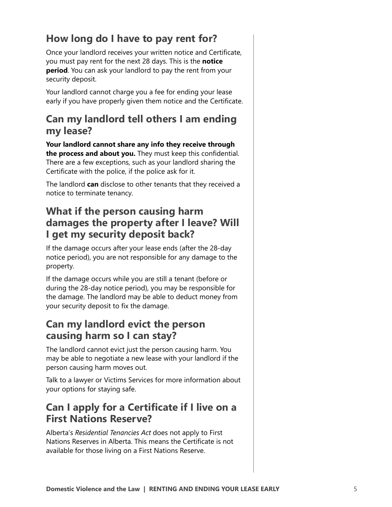# **How long do I have to pay rent for?**

Once your landlord receives your written notice and Certificate, you must pay rent for the next 28 days. This is the **notice period**. You can ask your landlord to pay the rent from your security deposit.

Your landlord cannot charge you a fee for ending your lease early if you have properly given them notice and the Certificate.

# **Can my landlord tell others I am ending my lease?**

**Your landlord cannot share any info they receive through the process and about you.** They must keep this confidential. There are a few exceptions, such as your landlord sharing the Certificate with the police, if the police ask for it.

The landlord **can** disclose to other tenants that they received a notice to terminate tenancy.

# **What if the person causing harm damages the property after I leave? Will I get my security deposit back?**

If the damage occurs after your lease ends (after the 28-day notice period), you are not responsible for any damage to the property.

If the damage occurs while you are still a tenant (before or during the 28-day notice period), you may be responsible for the damage. The landlord may be able to deduct money from your security deposit to fix the damage.

# **Can my landlord evict the person causing harm so I can stay?**

The landlord cannot evict just the person causing harm. You may be able to negotiate a new lease with your landlord if the person causing harm moves out.

Talk to a lawyer or Victims Services for more information about your options for staying safe.

# **Can I apply for a Certificate if I live on a First Nations Reserve?**

Alberta's *Residential Tenancies Act* does not apply to First Nations Reserves in Alberta. This means the Certificate is not available for those living on a First Nations Reserve.